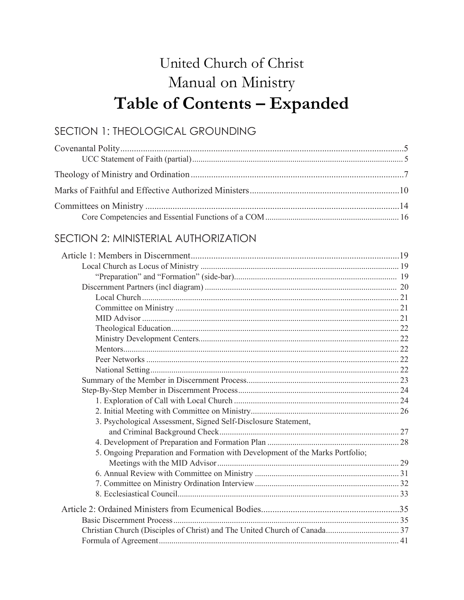## United Church of Christ Manual on Ministry Table of Contents - Expanded

## SECTION 1: THEOLOGICAL GROUNDING

## SECTION 2: MINISTERIAL AUTHORIZATION

| 3. Psychological Assessment, Signed Self-Disclosure Statement,                |  |
|-------------------------------------------------------------------------------|--|
|                                                                               |  |
|                                                                               |  |
| 5. Ongoing Preparation and Formation with Development of the Marks Portfolio; |  |
|                                                                               |  |
|                                                                               |  |
|                                                                               |  |
|                                                                               |  |
|                                                                               |  |
|                                                                               |  |
|                                                                               |  |
|                                                                               |  |